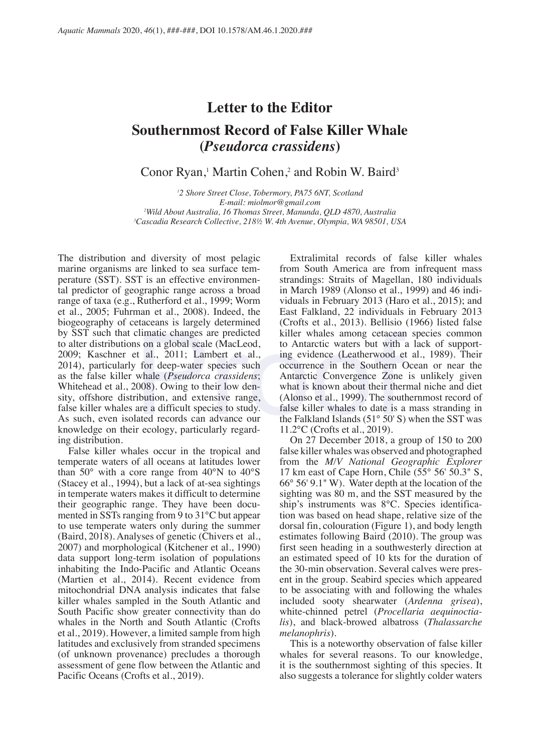## **Letter to the Editor Southernmost Record of False Killer Whale (***Pseudorca crassidens***)**

Conor Ryan,<sup>1</sup> Martin Cohen,<sup>2</sup> and Robin W. Baird<sup>3</sup>

 *2 Shore Street Close, Tobermory, PA75 6NT, Scotland E-mail: miolmor@gmail.com Wild About Australia, 16 Thomas Street, Manunda, QLD 4870, Australia Cascadia Research Collective, 218½ W. 4th Avenue, Olympia, WA 98501, USA*

The distribution and diversity of most pelagic marine organisms are linked to sea surface temperature (SST). SST is an effective environmental predictor of geographic range across a broad range of taxa (e.g., Rutherford et al., 1999; Worm et al., 2005; Fuhrman et al., 2008). Indeed, the biogeography of cetaceans is largely determined by SST such that climatic changes are predicted to alter distributions on a global scale (MacLeod, 2009; Kaschner et al., 2011; Lambert et al., 2014), particularly for deep-water species such as the false killer whale (*Pseudorca crassidens*; Whitehead et al., 2008). Owing to their low density, offshore distribution, and extensive range, false killer whales are a difficult species to study. As such, even isolated records can advance our knowledge on their ecology, particularly regarding distribution. climatic changes are predicted<br>solution and scale (MacLeod, to Antarctic waters but with<br>t al., 2011; Lambert et al., ing evidence (Leatherwood e<br>for deep-water species such occurrence in the Southern (whale (*Pseudorca c* 

False killer whales occur in the tropical and temperate waters of all oceans at latitudes lower than 50° with a core range from 40°N to 40°S (Stacey et al., 1994), but a lack of at-sea sightings in temperate waters makes it difficult to determine their geographic range. They have been documented in SSTs ranging from 9 to 31°C but appear to use temperate waters only during the summer (Baird, 2018). Analyses of genetic (Chivers et al., 2007) and morphological (Kitchener et al., 1990) data support long-term isolation of populations inhabiting the Indo-Pacific and Atlantic Oceans (Martien et al., 2014). Recent evidence from mitochondrial DNA analysis indicates that false killer whales sampled in the South Atlantic and South Pacific show greater connectivity than do whales in the North and South Atlantic (Crofts et al., 2019). However, a limited sample from high latitudes and exclusively from stranded specimens (of unknown provenance) precludes a thorough assessment of gene flow between the Atlantic and Pacific Oceans (Crofts et al., 2019).

Extralimital records of false killer whales from South America are from infrequent mass strandings: Straits of Magellan, 180 individuals in March 1989 (Alonso et al., 1999) and 46 individuals in February 2013 (Haro et al., 2015); and East Falkland, 22 individuals in February 2013 (Crofts et al., 2013). Bellisio (1966) listed false killer whales among cetacean species common to Antarctic waters but with a lack of supporting evidence (Leatherwood et al., 1989). Their occurrence in the Southern Ocean or near the Antarctic Convergence Zone is unlikely given what is known about their thermal niche and diet (Alonso et al., 1999). The southernmost record of false killer whales to date is a mass stranding in the Falkland Islands (51° 50' S) when the SST was 11.2°C (Crofts et al., 2019).

On 27 December 2018, a group of 150 to 200 false killer whales was observed and photographed from the *M/V National Geographic Explorer* 17 km east of Cape Horn, Chile  $(55^{\circ} 56' 50.3" S,$ 66° 56' 9.1" W). Water depth at the location of the sighting was 80 m, and the SST measured by the ship's instruments was 8°C. Species identification was based on head shape, relative size of the dorsal fin, colouration (Figure 1), and body length estimates following Baird (2010). The group was first seen heading in a southwesterly direction at an estimated speed of 10 kts for the duration of the 30-min observation. Several calves were present in the group. Seabird species which appeared to be associating with and following the whales included sooty shearwater (*Ardenna grisea*), white-chinned petrel (*Procellaria aequinoctialis*), and black-browed albatross (*Thalassarche melanophris*).

This is a noteworthy observation of false killer whales for several reasons. To our knowledge, it is the southernmost sighting of this species. It also suggests a tolerance for slightly colder waters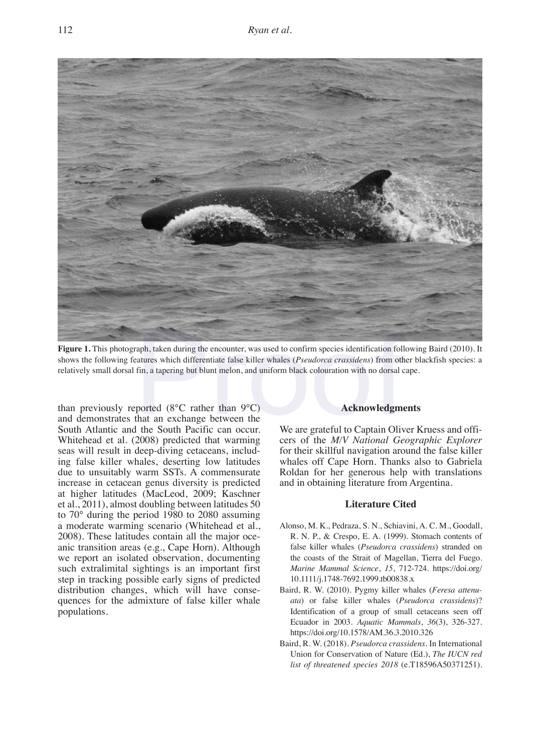

**Figure 1.** This photograph, taken during the encounter, was used to confirm species identification following Baird (2010). It shows the following features which differentiate false killer whales (*Pseudorca crassidens*) from other blackfish species: a relatively small dorsal fin, a tapering but blunt melon, and uniform black colouration with no dorsal cape. Taph, taken during the encounter, was used to confirm species identification follow<br>the differentiate false killer whales (*Pseudorca crassidens*) from oth<br>fin, a tapering but blunt melon, and uniform black colouration wit

than previously reported  $(8^{\circ}C \text{ rather than } 9^{\circ}C)$ and demonstrates that an exchange between the South Atlantic and the South Pacific can occur. Whitehead et al. (2008) predicted that warming seas will result in deep-diving cetaceans, including false killer whales, deserting low latitudes due to unsuitably warm SSTs. A commensurate increase in cetacean genus diversity is predicted at higher latitudes (MacLeod, 2009; Kaschner et al., 2011), almost doubling between latitudes 50 to 70° during the period 1980 to 2080 assuming a moderate warming scenario (Whitehead et al., 2008). These latitudes contain all the major oceanic transition areas (e.g., Cape Horn). Although we report an isolated observation, documenting such extralimital sightings is an important first step in tracking possible early signs of predicted distribution changes, which will have consequences for the admixture of false killer whale populations.

## **Acknowledgments**

We are grateful to Captain Oliver Kruess and officers of the *M/V National Geographic Explorer*  for their skillful navigation around the false killer whales off Cape Horn. Thanks also to Gabriela Roldan for her generous help with translations and in obtaining literature from Argentina.

## **Literature Cited**

- Alonso, M. K., Pedraza, S. N., Schiavini, A. C. M., Goodall, R. N. P., & Crespo, E. A. (1999). Stomach contents of false killer whales (*Pseudorca crassidens*) stranded on the coasts of the Strait of Magellan, Tierra del Fuego. *Marine Mammal Science*, *15*, 712-724. https://doi.org/ 10.1111/j.1748-7692.1999.tb00838.x
- Baird, R. W. (2010). Pygmy killer whales (*Feresa attenuata*) or false killer whales (*Pseudorca crassidens*)? Identification of a group of small cetaceans seen off Ecuador in 2003. *Aquatic Mammals*, *36*(3), 326-327. https://doi.org/10.1578/AM.36.3.2010.326
- Baird, R. W. (2018). *Pseudorca crassidens*. In International Union for Conservation of Nature (Ed.), *The IUCN red list of threatened species 2018* (e.T18596A50371251).